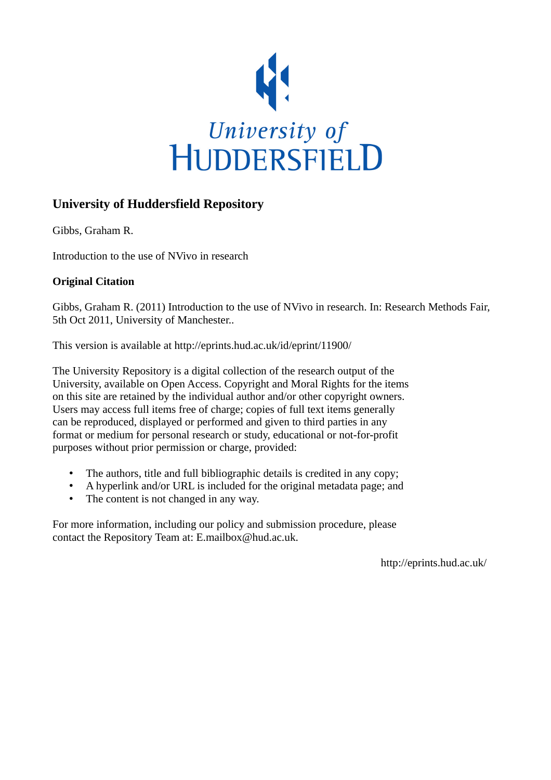

#### **University of Huddersfield Repository**

Gibbs, Graham R.

Introduction to the use of NVivo in research

#### **Original Citation**

Gibbs, Graham R. (2011) Introduction to the use of NVivo in research. In: Research Methods Fair, 5th Oct 2011, University of Manchester..

This version is available at http://eprints.hud.ac.uk/id/eprint/11900/

The University Repository is a digital collection of the research output of the University, available on Open Access. Copyright and Moral Rights for the items on this site are retained by the individual author and/or other copyright owners. Users may access full items free of charge; copies of full text items generally can be reproduced, displayed or performed and given to third parties in any format or medium for personal research or study, educational or not-for-profit purposes without prior permission or charge, provided:

- The authors, title and full bibliographic details is credited in any copy;
- A hyperlink and/or URL is included for the original metadata page; and
- The content is not changed in any way.

For more information, including our policy and submission procedure, please contact the Repository Team at: E.mailbox@hud.ac.uk.

http://eprints.hud.ac.uk/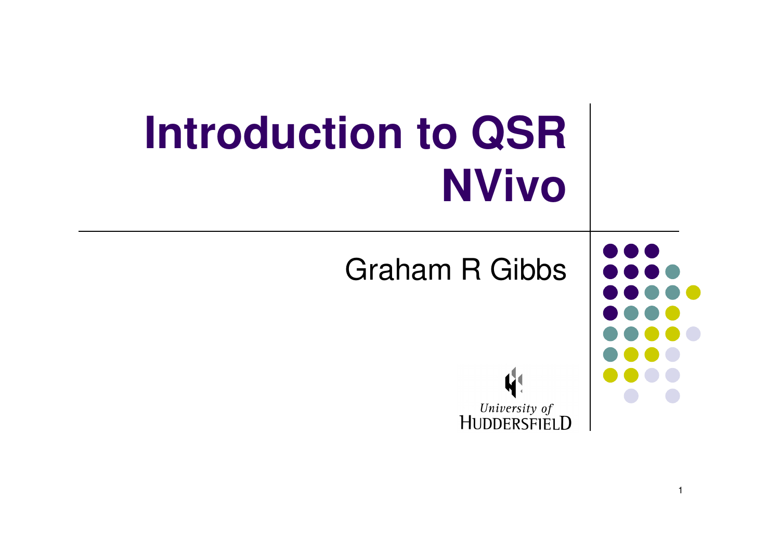| <b>Introduction to QSR</b><br><b>NVivo</b> |  |
|--------------------------------------------|--|
| <b>Graham R Gibbs</b>                      |  |
| University of<br>UDDERSFIELD               |  |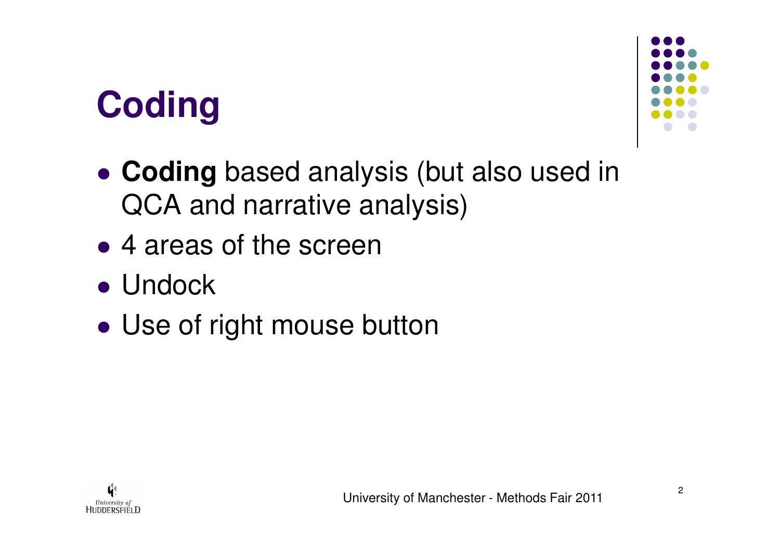# **Coding**



- $\bullet$  **Coding** based analysis (but also used in QCA and narrative analysis)
- $\bullet$ • 4 areas of the screen
- Undock
- $\bullet$ Use of right mouse button

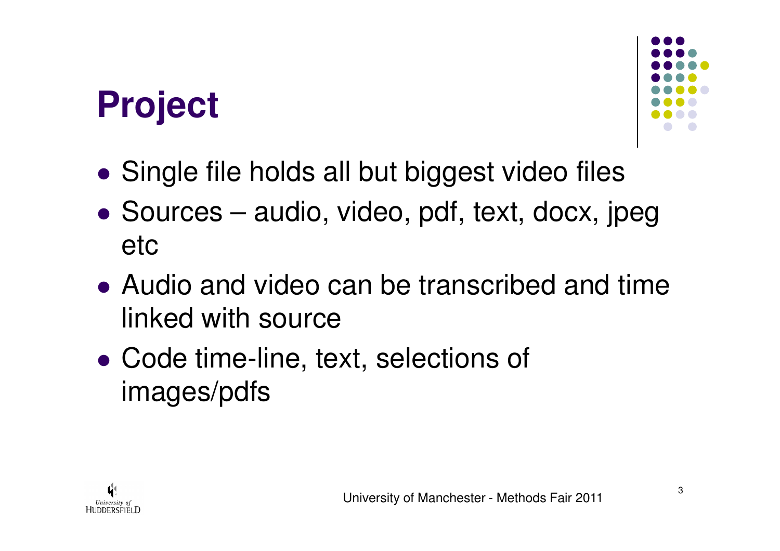## **Project**



- $\bullet$ Single file holds all but biggest video files
- $\bullet$  Sources – audio, video, pdf, text, docx, jpeg etc
- Audio and video can be transcribed and time linked with source
- $\bullet$ • Code time-line, text, selections of images/pdfs

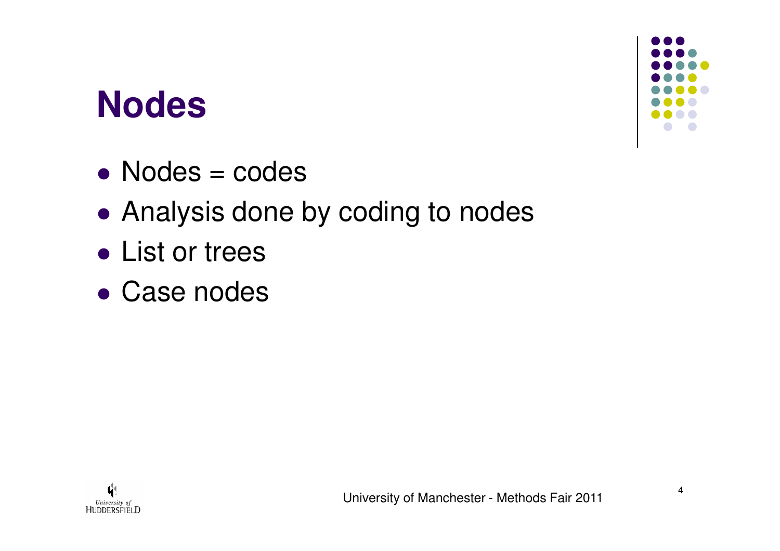#### **Nodes**

- $\bullet$ Nodes = codes
- $\bullet$ Analysis done by coding to nodes
- $\bullet$ ● List or trees
- $\bullet$ Case nodes



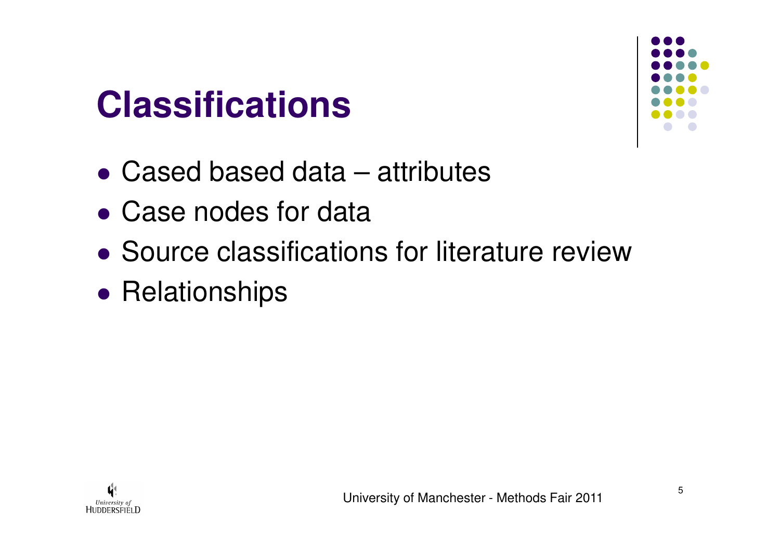## **Classifications**



- $\bullet$ Cased based data – attributes
- $\bullet$ Case nodes for data
- $\bullet$ Source classifications for literature review
- $\bullet$ • Relationships

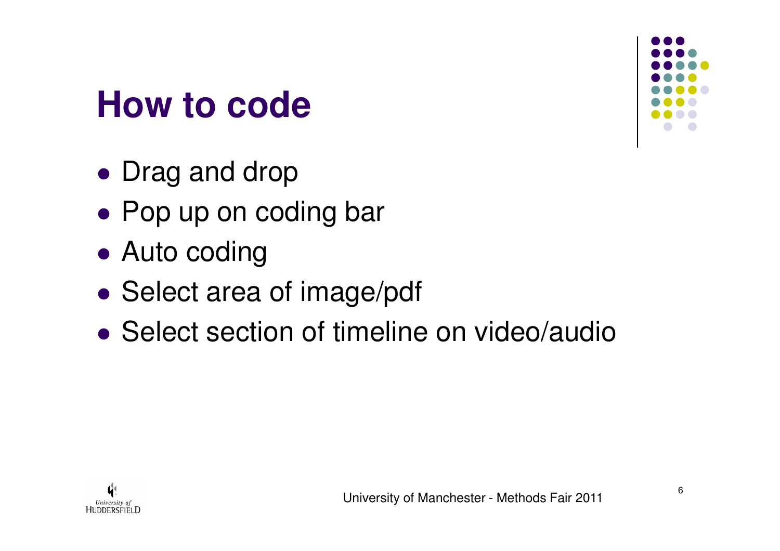

#### **How to code**

- $\bullet$ • Drag and drop
- $\bullet$ ● Pop up on coding bar
- $\bullet$ ● Auto coding
- $\bullet$ • Select area of image/pdf
- $\bullet$ • Select section of timeline on video/audio

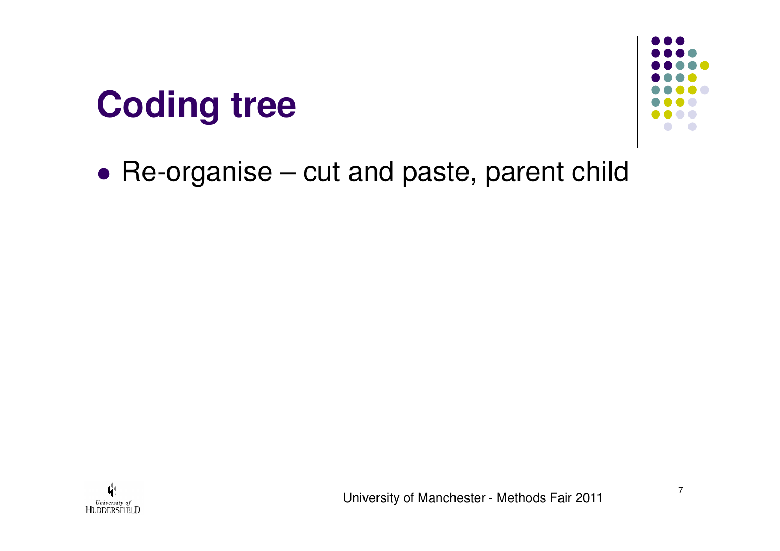# **Coding tree**



 $\bullet$ Re-organise – cut and paste, parent child

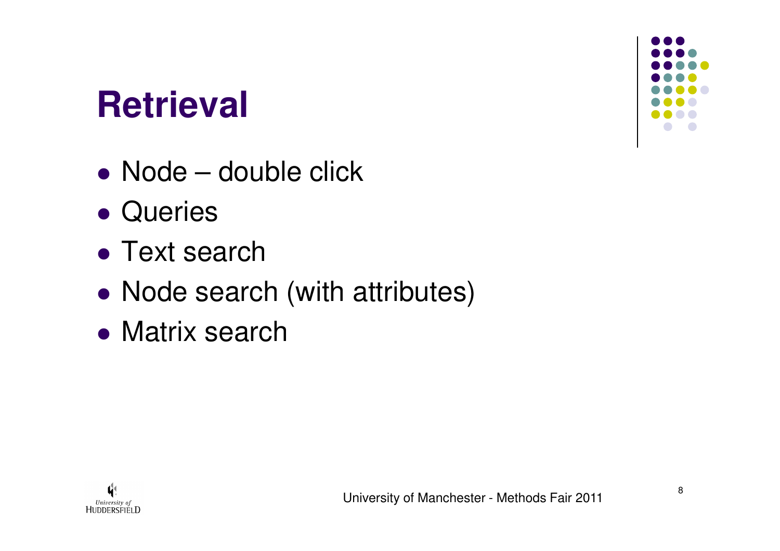### **Retrieval**

- $\bullet$ ● Node – double click
- $\bullet$ Queries

University of HUDDERSFIELD

- $\bullet$ • Text search
- $\bullet$ • Node search (with attributes)
- $\bullet$ **• Matrix search**

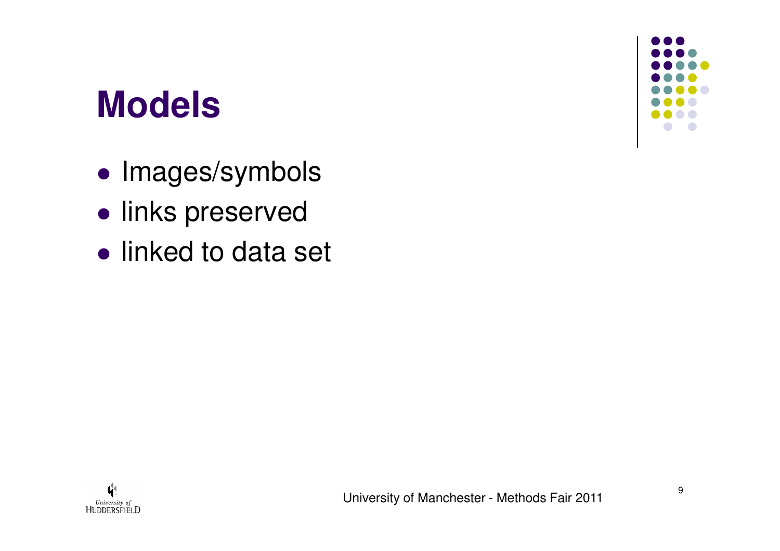#### **Models**

- $\bullet$ **• Images/symbols**
- $\bullet$ **•** links preserved
- $\bullet$ • linked to data set



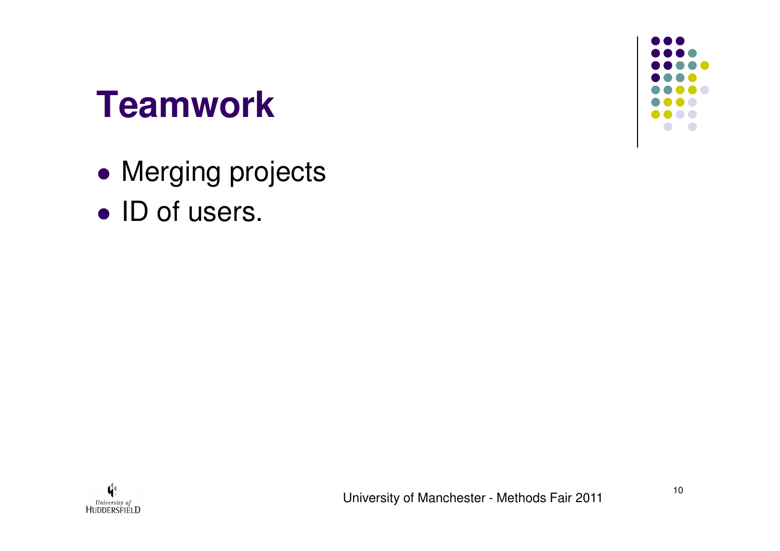#### **Teamwork**

- $\bullet$ **• Merging projects**
- $\bullet$ • ID of users.

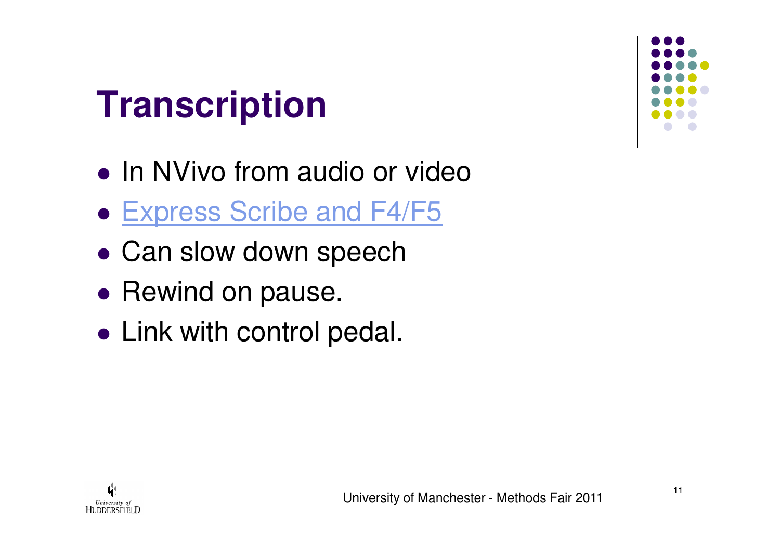# **Transcription**

- $\bullet$ • In NVivo from audio or video
- $\bullet$ **• Express Scribe and F4/F5**
- $\bullet$ Can slow down speech
- $\bullet$ • Rewind on pause.
- $\bullet$ Link with control pedal.



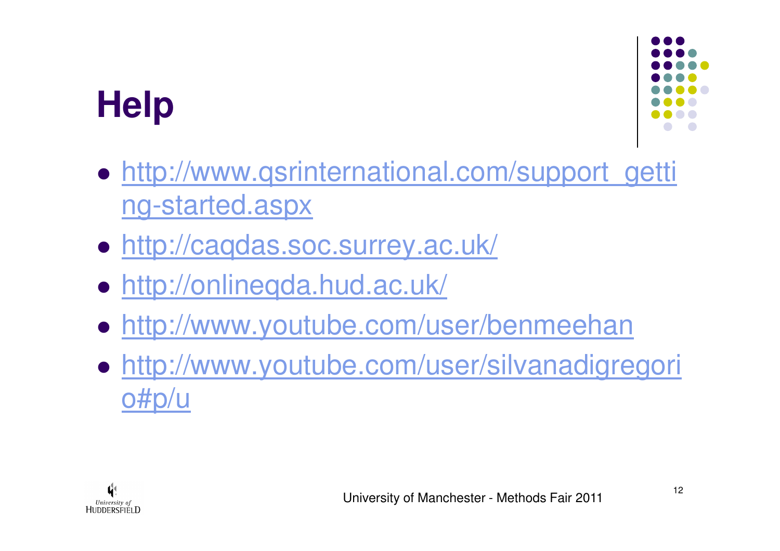# **Help**



- $\bullet$ • http://www.qsrinternational.com/support\_getti ng-started.aspx
- $\bullet$ http://caqdas.soc.surrey.ac.uk/
- http://onlineqda.hud.ac.uk/ $\bullet$
- $\bullet$ http://www.youtube.com/user/benmeehan
- $\bullet$  http://www.youtube.com/user/silvanadigregori o#p/u